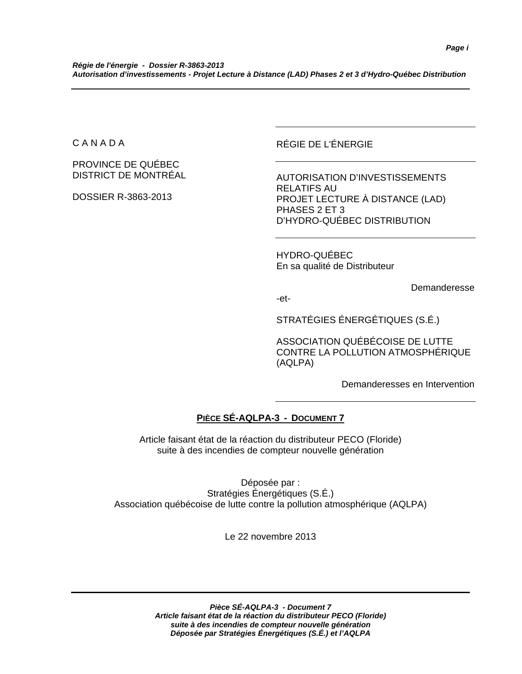C A N A D A

PROVINCE DE QUÉBEC DISTRICT DE MONTRÉAL

DOSSIER R-3863-2013

RÉGIE DE L'ÉNERGIE

AUTORISATION D'INVESTISSEMENTS RELATIFS AU PROJET LECTURE À DISTANCE (LAD) PHASES 2 ET 3 D'HYDRO-QUÉBEC DISTRIBUTION

HYDRO-QUÉBEC En sa qualité de Distributeur

Demanderesse

-et-

STRATÉGIES ÉNERGÉTIQUES (S.É.)

ASSOCIATION QUÉBÉCOISE DE LUTTE CONTRE LA POLLUTION ATMOSPHÉRIQUE (AQLPA)

Demanderesses en Intervention

## **PIÈCE SÉ-AQLPA-3 - DOCUMENT 7**

Article faisant état de la réaction du distributeur PECO (Floride) suite à des incendies de compteur nouvelle génération

Déposée par : Stratégies Énergétiques (S.É.) Association québécoise de lutte contre la pollution atmosphérique (AQLPA)

Le 22 novembre 2013

*Pièce SÉ-AQLPA-3 - Document 7 Article faisant état de la réaction du distributeur PECO (Floride) suite à des incendies de compteur nouvelle génération Déposée par Stratégies Énergétiques (S.É.) et l'AQLPA*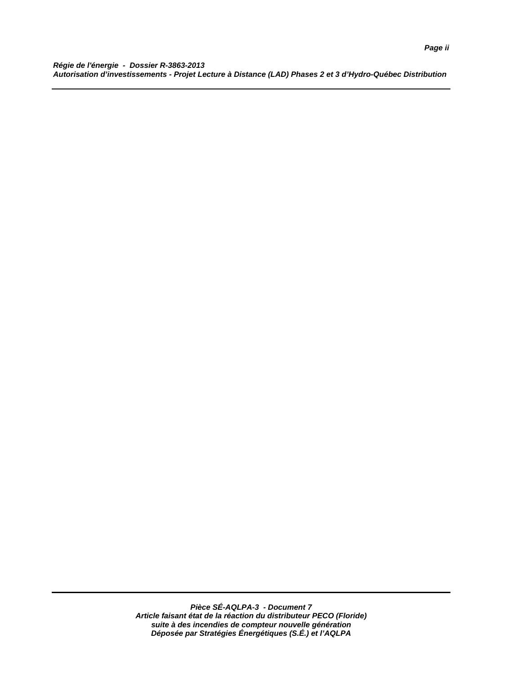*Pièce SÉ-AQLPA-3 - Document 7 Article faisant état de la réaction du distributeur PECO (Floride) suite à des incendies de compteur nouvelle génération Déposée par Stratégies Énergétiques (S.É.) et l'AQLPA*